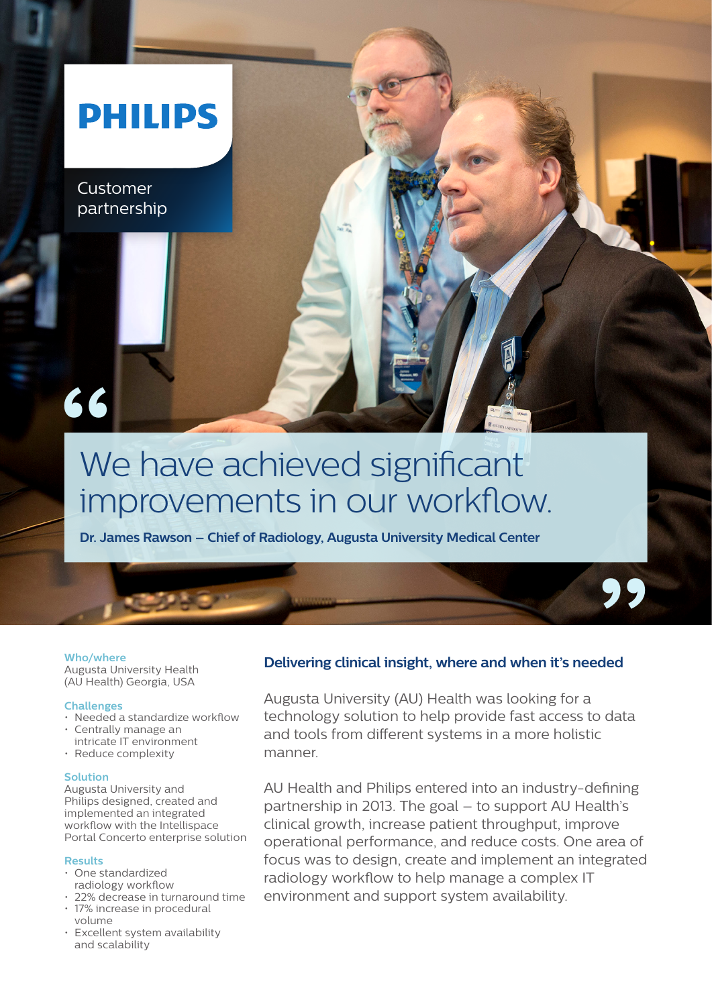# **PHILIPS**

Customer partnership

# We have achieved significant improvements in our workflow.

**Dr. James Rawson – Chief of Radiology, Augusta University Medical Center**

**Who/where**

**"**

Augusta University Health (AU Health) Georgia, USA

#### **Challenges**

- Needed a standardize workflow
- Centrally manage an intricate IT environment
- Reduce complexity

#### **Solution**

Augusta University and Philips designed, created and implemented an integrated workflow with the Intellispace Portal Concerto enterprise solution

#### **Results**

- One standardized radiology workflow
- 22% decrease in turnaround time
- 17% increase in procedural volume
- Excellent system availability and scalability

# **Delivering clinical insight, where and when it's needed 99**<br><sup>eded</sup>

Augusta University (AU) Health was looking for a technology solution to help provide fast access to data and tools from different systems in a more holistic manner.

AU Health and Philips entered into an industry-defining partnership in 2013. The goal – to support AU Health's clinical growth, increase patient throughput, improve operational performance, and reduce costs. One area of focus was to design, create and implement an integrated radiology workflow to help manage a complex IT environment and support system availability.